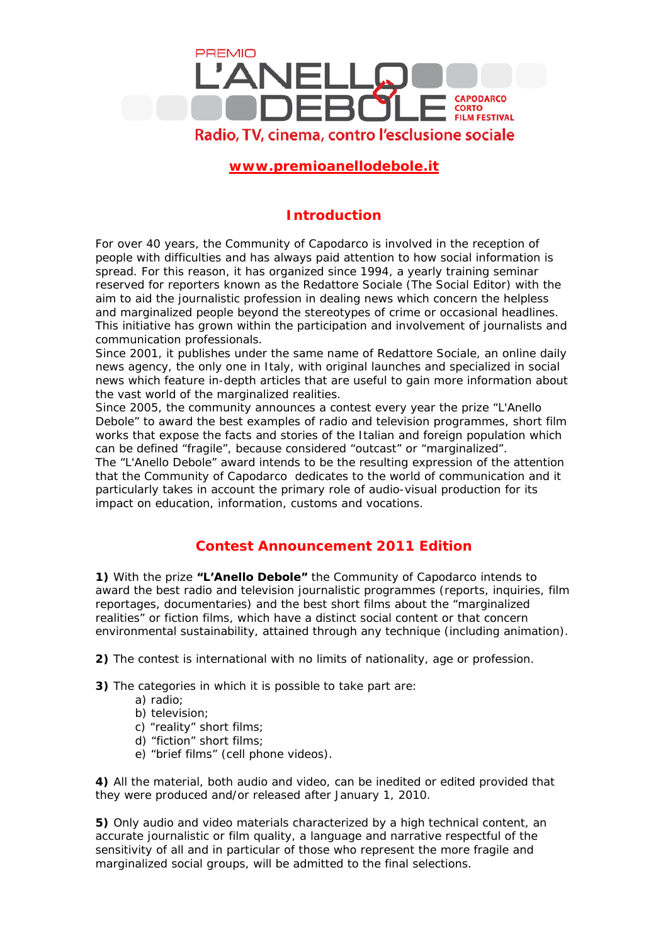

## **[www.premioanellodebole.it](http://www.premioanellodebole.it/)**

## **Introduction**

For over 40 years, the Community of Capodarco is involved in the reception of people with difficulties and has always paid attention to how social information is spread. For this reason, it has organized since 1994, a yearly training seminar reserved for reporters known as the *Redattore Sociale* (The Social Editor) with the aim to aid the journalistic profession in dealing news which concern the helpless and marginalized people beyond the stereotypes of crime or occasional headlines. This initiative has grown within the participation and involvement of journalists and communication professionals.

Since 2001, it publishes under the same name of *Redattore Sociale*, an online daily news agency, the only one in Italy, with original launches and specialized in social news which feature in-depth articles that are useful to gain more information about the vast world of the marginalized realities.

Since 2005, the community announces a contest every year the prize "L'Anello Debole" to award the best examples of radio and television programmes, short film works that expose the facts and stories of the Italian and foreign population which can be defined "fragile", because considered "outcast" or "marginalized".

The "L'Anello Debole" award intends to be the resulting expression of the attention that the Community of Capodarco dedicates to the world of communication and it particularly takes in account the primary role of audio-visual production for its impact on education, information, customs and vocations.

## **Contest Announcement 2011 Edition**

**1)** With the prize **"L'Anello Debole"** the Community of Capodarco intends to award the best radio and television journalistic programmes (reports, inquiries, film reportages, documentaries) and the best short films about the "marginalized realities" or fiction films, which have a distinct social content or that concern environmental sustainability, attained through any technique (including animation).

**2)** The contest is international with no limits of nationality, age or profession.

**3)** The categories in which it is possible to take part are:

- a) radio;
- b) television;
- c) "reality" short films;
- d) "fiction" short films*;*
- e) "brief films" (cell phone videos).

**4)** All the material, both audio and video, can be inedited or edited provided that they were produced and/or released after January 1, 2010.

**5)** Only audio and video materials characterized by a high technical content, an accurate journalistic or film quality, a language and narrative respectful of the sensitivity of all and in particular of those who represent the more fragile and marginalized social groups, will be admitted to the final selections.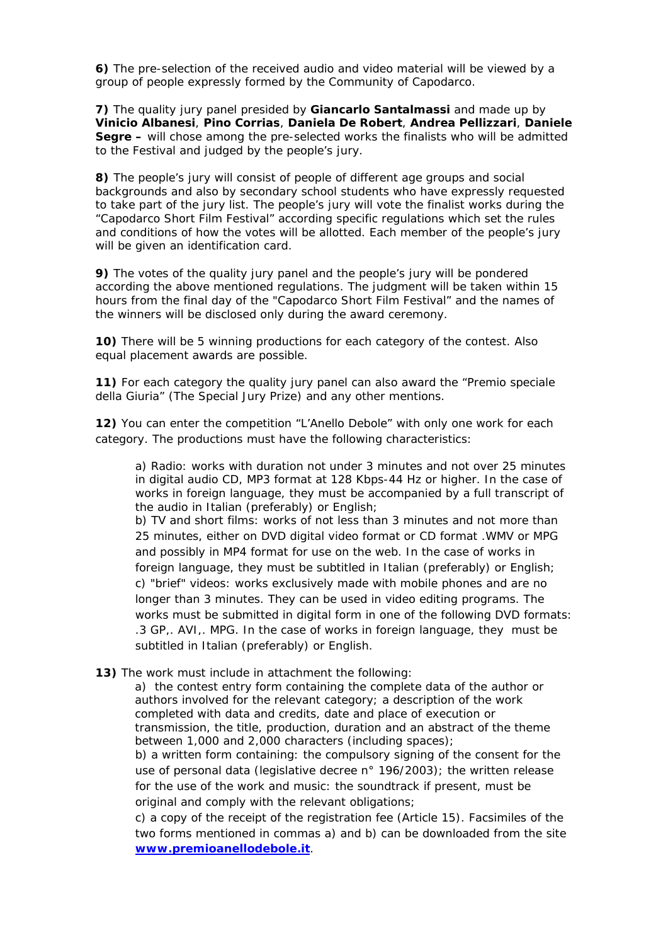**6)** The pre-selection of the received audio and video material will be viewed by a group of people expressly formed by the Community of Capodarco.

**7)** The quality jury panel presided by **Giancarlo Santalmassi** and made up by **Vinicio Albanesi**, **Pino Corrias**, **Daniela De Robert**, **Andrea Pellizzari**, **Daniele Segre –** will chose among the pre-selected works the finalists who will be admitted to the Festival and judged by the people's jury.

**8)** The people's jury will consist of people of different age groups and social backgrounds and also by secondary school students who have expressly requested to take part of the jury list. The people's jury will vote the finalist works during the "Capodarco Short Film Festival" according specific regulations which set the rules and conditions of how the votes will be allotted. Each member of the people's jury will be given an identification card.

**9)** The votes of the quality jury panel and the people's jury will be pondered according the above mentioned regulations. The judgment will be taken within 15 hours from the final day of the "Capodarco Short Film Festival" and the names of the winners will be disclosed only during the award ceremony.

**10)** There will be 5 winning productions for each category of the contest. Also equal placement awards are possible.

**11)** For each category the quality jury panel can also award the "Premio speciale della Giuria" (The Special Jury Prize) and any other mentions.

**12)** You can enter the competition "L'Anello Debole" with only one work for each category. The productions must have the following characteristics:

a) Radio: works with duration not under 3 minutes and not over 25 minutes in digital audio CD, MP3 format at 128 Kbps-44 Hz or higher. In the case of works in foreign language, they must be accompanied by a full transcript of the audio in Italian (preferably) or English;

b) TV and short films: works of not less than 3 minutes and not more than 25 minutes, either on DVD digital video format or CD format .WMV or MPG and possibly in MP4 format for use on the web. In the case of works in foreign language, they must be subtitled in Italian (preferably) or English; c) "brief" videos: works exclusively made with mobile phones and are no longer than 3 minutes. They can be used in video editing programs. The works must be submitted in digital form in one of the following DVD formats: .3 GP,. AVI,. MPG. In the case of works in foreign language, they must be subtitled in Italian (preferably) or English.

**13)** The work must include in attachment the following:

a) the contest entry form containing the complete data of the author or authors involved for the relevant category; a description of the work completed with data and credits, date and place of execution or transmission, the title, production, duration and an abstract of the theme between 1,000 and 2,000 characters (including spaces);

b) a written form containing: the compulsory signing of the consent for the use of personal data (legislative decree n° 196/2003); the written release for the use of the work and music: the soundtrack if present, must be original and comply with the relevant obligations;

c) a copy of the receipt of the registration fee (Article 15). Facsimiles of the two forms mentioned in commas a) and b) can be downloaded from the site **[www.premioanellodebole.it](http://www.premioanellodebole.it/)**.